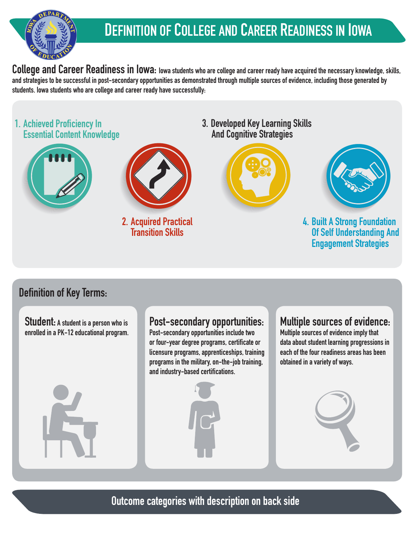

# **DEFINITION OF COLLEGE AND CAREER READINESS IN IOWA**

College and Career Readiness in Iowa: Iowa students who are college and career ready have acquired the necessary knowledge, skills, **and strategies to be successful in post-secondary opportunities as demonstrated through multiple sources of evidence, including those generated by students. Iowa students who are college and career ready have successfully:**



### **Definition of Key Terms:**

**Student: A student is a person who is enrolled in a PK-12 educational program.**

#### **Post-secondary opportunities:**

**Post-secondary opportunities include two or four-yeardegreeprograms, certificate or licensure programs, apprenticeships, training programs in the military, on-the-job training,**  and industry-based certifications.



### **Multiple sources of evidence:**

**Multiple sources of evidence imply that data about student learning progressions in each of the four readiness areas has been obtained in a variety of ways.**



**Outcome categories with description on back side**